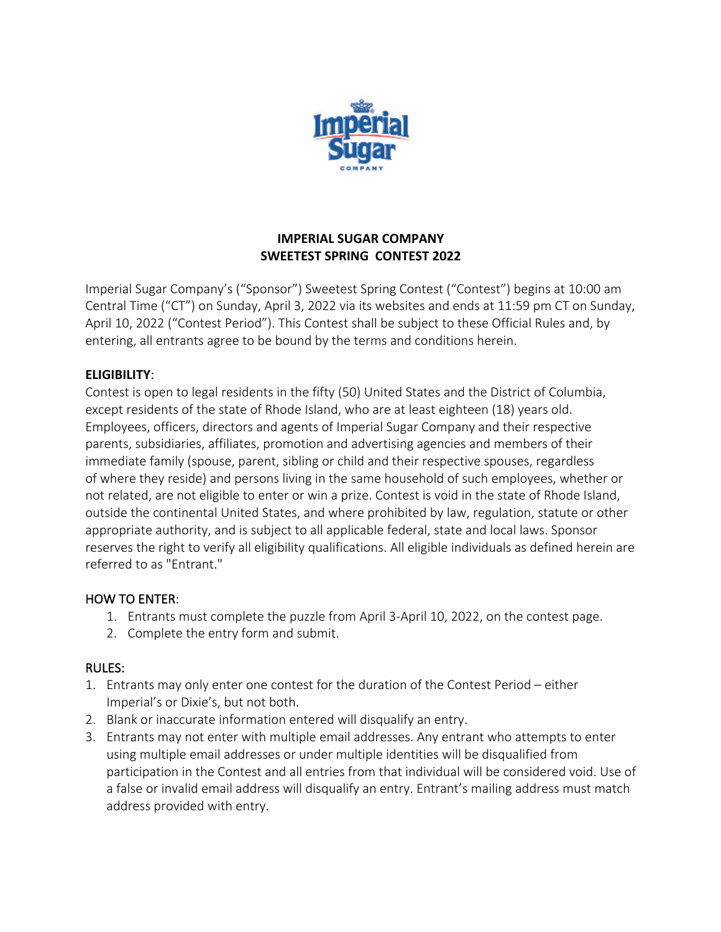

### **IMPERIAL SUGAR COMPANY SWEETEST SPRING CONTEST 2022**

Imperial Sugar Company's ("Sponsor") Sweetest Spring Contest ("Contest") begins at 10:00 am Central Time ("CT") on Sunday, April 3, 2022 via its websites and ends at 11:59 pm CT on Sunday, April 10, 2022 ("Contest Period"). This Contest shall be subject to these Official Rules and, by entering, all entrants agree to be bound by the terms and conditions herein.

## **ELIGIBILITY**:

Contest is open to legal residents in the fifty (50) United States and the District of Columbia, except residents of the state of Rhode Island, who are at least eighteen (18) years old. Employees, officers, directors and agents of Imperial Sugar Company and their respective parents, subsidiaries, affiliates, promotion and advertising agencies and members of their immediate family (spouse, parent, sibling or child and their respective spouses, regardless of where they reside) and persons living in the same household of such employees, whether or not related, are not eligible to enter or win a prize. Contest is void in the state of Rhode Island, outside the continental United States, and where prohibited by law, regulation, statute or other appropriate authority, and is subject to all applicable federal, state and local laws. Sponsor reserves the right to verify all eligibility qualifications. All eligible individuals as defined herein are referred to as "Entrant."

#### HOW TO ENTER:

- 1. Entrants must complete the puzzle from April 3-April 10, 2022, on the contest page.
- 2. Complete the entry form and submit.

#### RULES:

- 1. Entrants may only enter one contest for the duration of the Contest Period either Imperial's or Dixie's, but not both.
- 2. Blank or inaccurate information entered will disqualify an entry.
- 3. Entrants may not enter with multiple email addresses. Any entrant who attempts to enter using multiple email addresses or under multiple identities will be disqualified from participation in the Contest and all entries from that individual will be considered void. Use of a false or invalid email address will disqualify an entry. Entrant's mailing address must match address provided with entry.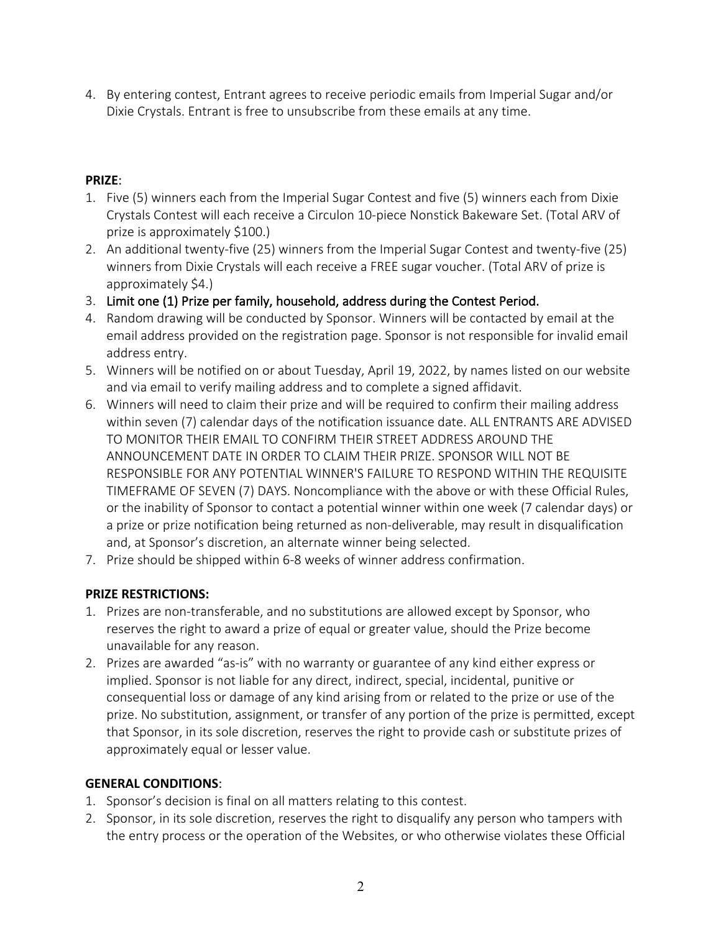4. By entering contest, Entrant agrees to receive periodic emails from Imperial Sugar and/or Dixie Crystals. Entrant is free to unsubscribe from these emails at any time.

# **PRIZE**:

- 1. Five (5) winners each from the Imperial Sugar Contest and five (5) winners each from Dixie Crystals Contest will each receive a Circulon 10-piece Nonstick Bakeware Set. (Total ARV of prize is approximately \$100.)
- 2. An additional twenty-five (25) winners from the Imperial Sugar Contest and twenty-five (25) winners from Dixie Crystals will each receive a FREE sugar voucher. (Total ARV of prize is approximately \$4.)
- 3. Limit one (1) Prize per family, household, address during the Contest Period.
- 4. Random drawing will be conducted by Sponsor. Winners will be contacted by email at the email address provided on the registration page. Sponsor is not responsible for invalid email address entry.
- 5. Winners will be notified on or about Tuesday, April 19, 2022, by names listed on our website and via email to verify mailing address and to complete a signed affidavit.
- 6. Winners will need to claim their prize and will be required to confirm their mailing address within seven (7) calendar days of the notification issuance date. ALL ENTRANTS ARE ADVISED TO MONITOR THEIR EMAIL TO CONFIRM THEIR STREET ADDRESS AROUND THE ANNOUNCEMENT DATE IN ORDER TO CLAIM THEIR PRIZE. SPONSOR WILL NOT BE RESPONSIBLE FOR ANY POTENTIAL WINNER'S FAILURE TO RESPOND WITHIN THE REQUISITE TIMEFRAME OF SEVEN (7) DAYS. Noncompliance with the above or with these Official Rules, or the inability of Sponsor to contact a potential winner within one week (7 calendar days) or a prize or prize notification being returned as non-deliverable, may result in disqualification and, at Sponsor's discretion, an alternate winner being selected.
- 7. Prize should be shipped within 6-8 weeks of winner address confirmation.

#### **PRIZE RESTRICTIONS:**

- 1. Prizes are non-transferable, and no substitutions are allowed except by Sponsor, who reserves the right to award a prize of equal or greater value, should the Prize become unavailable for any reason.
- 2. Prizes are awarded "as-is" with no warranty or guarantee of any kind either express or implied. Sponsor is not liable for any direct, indirect, special, incidental, punitive or consequential loss or damage of any kind arising from or related to the prize or use of the prize. No substitution, assignment, or transfer of any portion of the prize is permitted, except that Sponsor, in its sole discretion, reserves the right to provide cash or substitute prizes of approximately equal or lesser value.

#### **GENERAL CONDITIONS**:

- 1. Sponsor's decision is final on all matters relating to this contest.
- 2. Sponsor, in its sole discretion, reserves the right to disqualify any person who tampers with the entry process or the operation of the Websites, or who otherwise violates these Official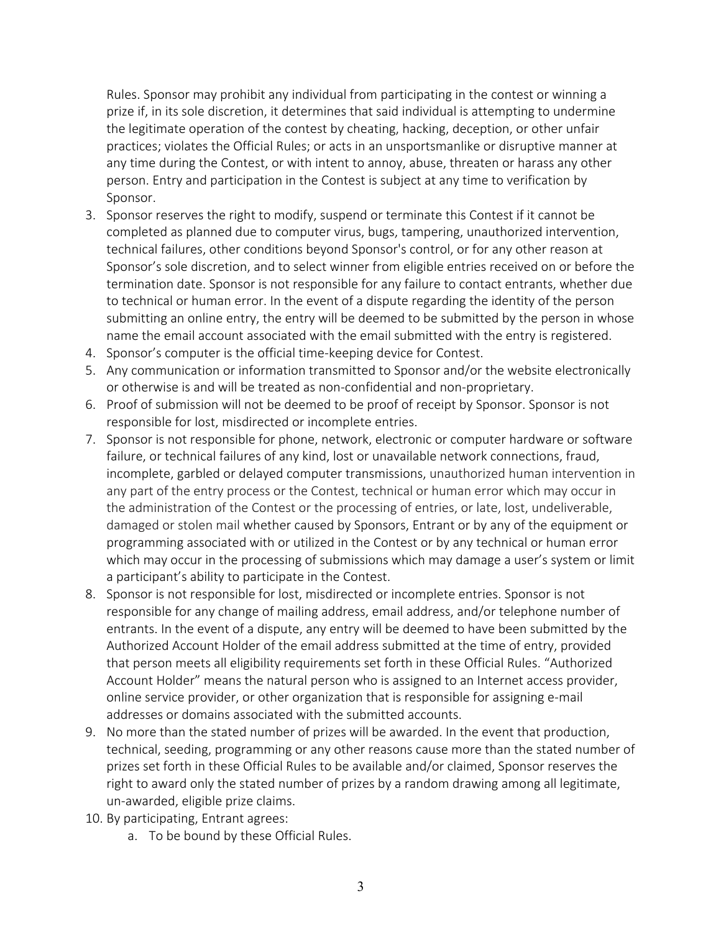Rules. Sponsor may prohibit any individual from participating in the contest or winning a prize if, in its sole discretion, it determines that said individual is attempting to undermine the legitimate operation of the contest by cheating, hacking, deception, or other unfair practices; violates the Official Rules; or acts in an unsportsmanlike or disruptive manner at any time during the Contest, or with intent to annoy, abuse, threaten or harass any other person. Entry and participation in the Contest is subject at any time to verification by Sponsor.

- 3. Sponsor reserves the right to modify, suspend or terminate this Contest if it cannot be completed as planned due to computer virus, bugs, tampering, unauthorized intervention, technical failures, other conditions beyond Sponsor's control, or for any other reason at Sponsor's sole discretion, and to select winner from eligible entries received on or before the termination date. Sponsor is not responsible for any failure to contact entrants, whether due to technical or human error. In the event of a dispute regarding the identity of the person submitting an online entry, the entry will be deemed to be submitted by the person in whose name the email account associated with the email submitted with the entry is registered.
- 4. Sponsor's computer is the official time-keeping device for Contest.
- 5. Any communication or information transmitted to Sponsor and/or the website electronically or otherwise is and will be treated as non-confidential and non-proprietary.
- 6. Proof of submission will not be deemed to be proof of receipt by Sponsor. Sponsor is not responsible for lost, misdirected or incomplete entries.
- 7. Sponsor is not responsible for phone, network, electronic or computer hardware or software failure, or technical failures of any kind, lost or unavailable network connections, fraud, incomplete, garbled or delayed computer transmissions, unauthorized human intervention in any part of the entry process or the Contest, technical or human error which may occur in the administration of the Contest or the processing of entries, or late, lost, undeliverable, damaged or stolen mail whether caused by Sponsors, Entrant or by any of the equipment or programming associated with or utilized in the Contest or by any technical or human error which may occur in the processing of submissions which may damage a user's system or limit a participant's ability to participate in the Contest.
- 8. Sponsor is not responsible for lost, misdirected or incomplete entries. Sponsor is not responsible for any change of mailing address, email address, and/or telephone number of entrants. In the event of a dispute, any entry will be deemed to have been submitted by the Authorized Account Holder of the email address submitted at the time of entry, provided that person meets all eligibility requirements set forth in these Official Rules. "Authorized Account Holder" means the natural person who is assigned to an Internet access provider, online service provider, or other organization that is responsible for assigning e-mail addresses or domains associated with the submitted accounts.
- 9. No more than the stated number of prizes will be awarded. In the event that production, technical, seeding, programming or any other reasons cause more than the stated number of prizes set forth in these Official Rules to be available and/or claimed, Sponsor reserves the right to award only the stated number of prizes by a random drawing among all legitimate, un-awarded, eligible prize claims.
- 10. By participating, Entrant agrees:
	- a. To be bound by these Official Rules.